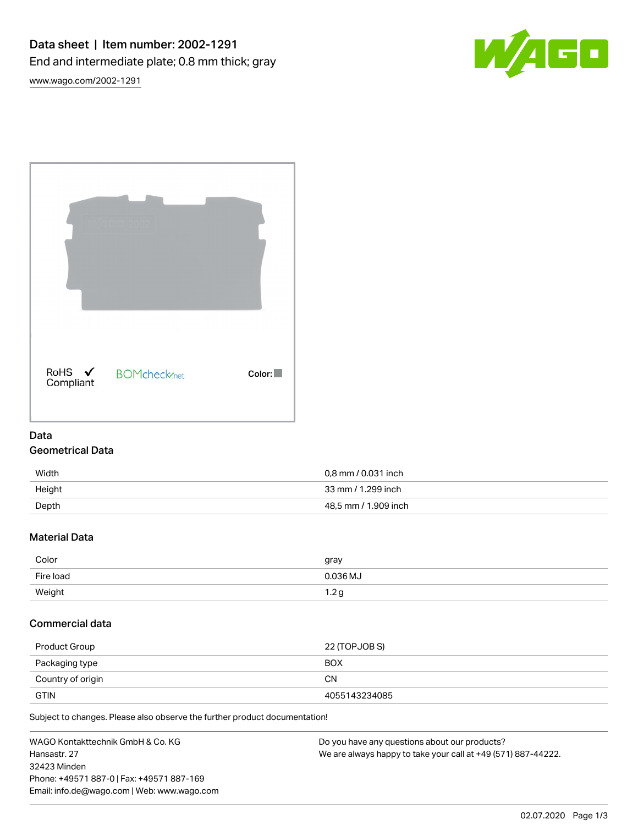

[www.wago.com/2002-1291](http://www.wago.com/2002-1291)

|  | RoHS ✔<br>Compliant | <b>BOMcheck</b> <sub>net</sub> | Color: |
|--|---------------------|--------------------------------|--------|

## Data Geometrical Data

| Width  | 0,8 mm / 0.031 inch  |
|--------|----------------------|
| Height | 33 mm / 1.299 inch   |
| Depth  | 48,5 mm / 1.909 inch |

## Material Data

| Color     | gray       |
|-----------|------------|
| Fire load | 0.036 MJ   |
| Weight    | ◢<br>و ۱.۷ |

## Commercial data

| Product Group     | 22 (TOPJOB S) |
|-------------------|---------------|
| Packaging type    | <b>BOX</b>    |
| Country of origin | CΝ            |
| <b>GTIN</b>       | 4055143234085 |

Subject to changes. Please also observe the further product documentation!

WAGO Kontakttechnik GmbH & Co. KG Hansastr. 27 32423 Minden Phone: +49571 887-0 | Fax: +49571 887-169 Email: info.de@wago.com | Web: www.wago.com Do you have any questions about our products? We are always happy to take your call at +49 (571) 887-44222.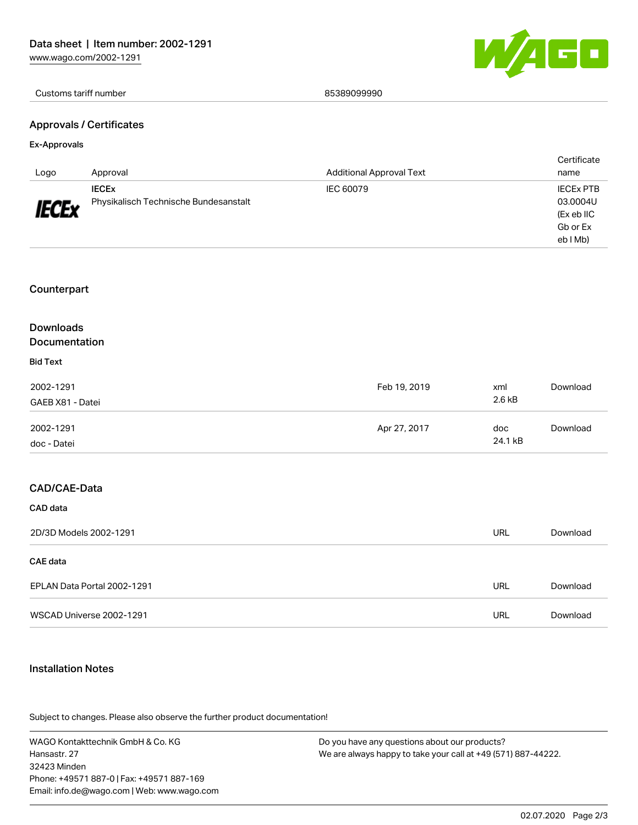

#### Customs tariff number 85389099990

### Approvals / Certificates

#### Ex-Approvals

| Logo         | Approval                              | <b>Additional Approval Text</b> | Certificate<br>name    |
|--------------|---------------------------------------|---------------------------------|------------------------|
|              | <b>IECEX</b>                          | IEC 60079                       | <b>IECEX PTB</b>       |
| <b>IECEx</b> | Physikalisch Technische Bundesanstalt |                                 | 03.0004U               |
|              |                                       |                                 | (Ex eb IIC<br>Gb or Ex |
|              |                                       |                                 | eb I Mb)               |

### Counterpart

# Downloads

### Documentation

## Bid Text

| 2002-1291<br>GAEB X81 - Datei | Feb 19, 2019 | xml<br>2.6 kB  | Download |
|-------------------------------|--------------|----------------|----------|
| 2002-1291<br>doc - Datei      | Apr 27, 2017 | doc<br>24.1 kB | Download |

## CAD/CAE-Data

CAD data

| 2D/3D Models 2002-1291      | URL | Download |
|-----------------------------|-----|----------|
| <b>CAE data</b>             |     |          |
| EPLAN Data Portal 2002-1291 | URL | Download |
| WSCAD Universe 2002-1291    | URL | Download |

### Installation Notes

Subject to changes. Please also observe the further product documentation! Product family

WAGO Kontakttechnik GmbH & Co. KG Hansastr. 27 32423 Minden Phone: +49571 887-0 | Fax: +49571 887-169 Email: info.de@wago.com | Web: www.wago.com Do you have any questions about our products? We are always happy to take your call at +49 (571) 887-44222.